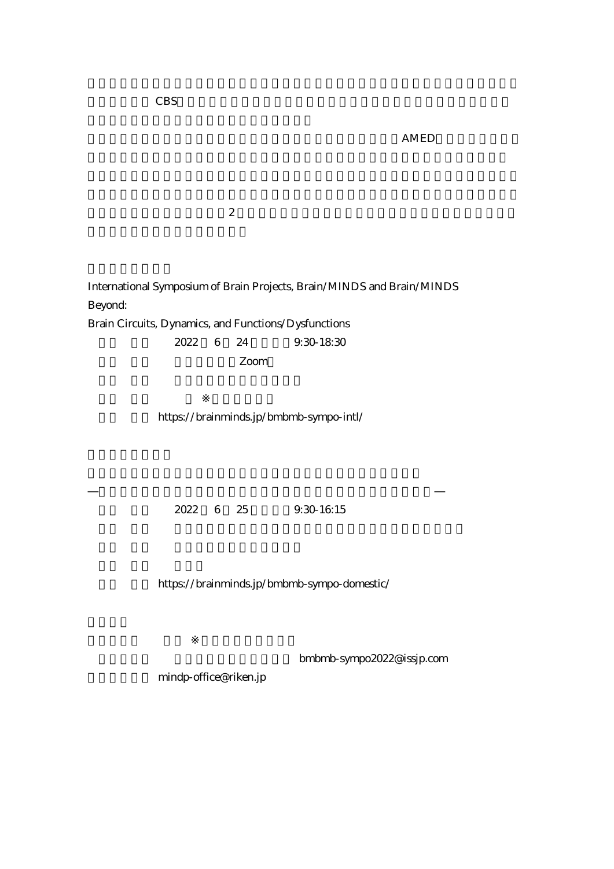$AMED$ 

 $\overline{z}$ 

International Symposium of Brain Projects, Brain/MINDS and Brain/MINDS Beyond:

Brain Circuits, Dynamics, and Functions/Dysfunctions

2022 6 24 9:30-18:30

Zoom

【詳 細】 https://brainminds.jp/bmbmb-sympo-intl/

2022 6 25 9:30-16:15

https://brainminds.jp/bmbmb-sympo-domestic/

bmbmb-sympo2022@issjp.com

mindp-office@riken.jp

 $\text{CBS}$